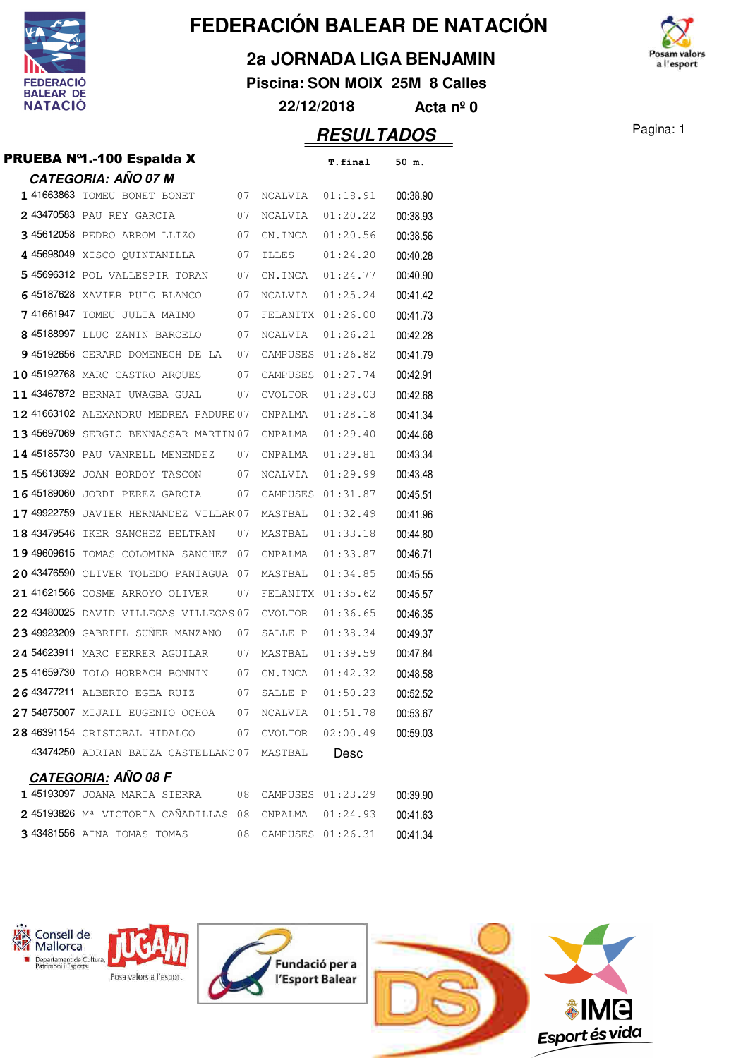

### **2a JORNADA LIGA BENJAMIN**

**Piscina: SON MOIX 25M 8 Calles**

**22/12/2018 Acta nº 0**

### **RESULTADOS** Pagina: 1 PRUEBA Nº1.-100 Espalda X **T.final 50 m.**

|  |  | PRUEBA Nº1.-100 Espalda X |
|--|--|---------------------------|
|--|--|---------------------------|

| <u>CATEGORIA:</u> AÑO 07 M                      |     |                   |                        |          |
|-------------------------------------------------|-----|-------------------|------------------------|----------|
| 1 41663863 TOMEU BONET BONET                    | 07  | NCALVIA           | 01:18.91               | 00:38.90 |
| 2 43470583 PAU REY GARCIA                       | 07  | NCALVIA           | 01:20.22               | 00:38.93 |
| 3 45612058 PEDRO ARROM LLIZO                    | 07  | CN.INCA           | 01:20.56               | 00:38.56 |
| 4 45698049 XISCO QUINTANILLA                    | 07  | ILLES             | 01:24.20               | 00:40.28 |
| 5 45696312 POL VALLESPIR TORAN                  | 07  | CN.INCA           | 01:24.77               | 00:40.90 |
| 645187628 XAVIER PUIG BLANCO                    | 07  | NCALVIA           | 01:25.24               | 00:41.42 |
| 741661947 TOMEU JULIA MAIMO                     | 07  | FELANITX 01:26.00 |                        | 00:41.73 |
| 8 45188997 LLUC ZANIN BARCELO                   | 07  | NCALVIA           | 01:26.21               | 00:42.28 |
| 9 45192656 GERARD DOMENECH DE LA                | 07  | CAMPUSES          | 01:26.82               | 00:41.79 |
| 10 45192768 MARC CASTRO ARQUES                  | 07  | CAMPUSES          | 01:27.74               | 00:42.91 |
| 11 43467872 BERNAT UWAGBA GUAL                  | 07  | <b>CVOLTOR</b>    | 01:28.03               | 00:42.68 |
| 12 41663102 ALEXANDRU MEDREA PADURE 07          |     | CNPALMA           | 01:28.18               | 00:41.34 |
| 13 45697069 SERGIO BENNASSAR MARTIN 07          |     | CNPALMA           | 01:29.40               | 00:44.68 |
| 14 45185730 PAU VANRELL MENENDEZ                | 07  | CNPALMA           | 01:29.81               | 00:43.34 |
| 15 45613692 JOAN BORDOY TASCON                  | 07  | NCALVIA           | 01:29.99               | 00:43.48 |
| 16 45189060 JORDI PEREZ GARCIA                  | 07  | CAMPUSES          | 01:31.87               | 00:45.51 |
| 17 49922759 JAVIER HERNANDEZ VILLAR 07          |     | MASTBAL           | 01:32.49               | 00:41.96 |
| 18 43479546 IKER SANCHEZ BELTRAN                | 07  | MASTBAL           | 01:33.18               | 00:44.80 |
| 19 49609615 TOMAS COLOMINA SANCHEZ              | 07  | CNPALMA           | 01:33.87               | 00:46.71 |
| 20 43476590 OLIVER TOLEDO PANIAGUA              | -07 | MASTBAL           | 01:34.85               | 00:45.55 |
| 21 41621566 COSME ARROYO OLIVER                 | 07  | FELANITX 01:35.62 |                        | 00:45.57 |
| 22 43480025 DAVID VILLEGAS VILLEGAS 07          |     | <b>CVOLTOR</b>    | 01:36.65               | 00:46.35 |
| 23 49923209 GABRIEL SUÑER MANZANO               | 07  | SALLE-P           | 01:38.34               | 00:49.37 |
| 24 54623911 MARC FERRER AGUILAR                 | 07  | MASTBAL           | 01:39.59               | 00:47.84 |
| 25 41659730 TOLO HORRACH BONNIN                 | 07  | CN.INCA           | 01:42.32               | 00:48.58 |
| 26 43477211 ALBERTO EGEA RUIZ                   | 07  | SALLE-P           | 01:50.23               | 00:52.52 |
| 27 54875007 MIJAIL EUGENIO OCHOA                | 07  | NCALVIA           | 01:51.78               | 00:53.67 |
| 28 46391154 CRISTOBAL HIDALGO                   | 07  | CVOLTOR           | 02:00.49               | 00:59.03 |
| 43474250 ADRIAN BAUZA CASTELLANO 07             |     | MASTBAL           | Desc                   |          |
| <u>CATEGORIA:</u> AÑO 08 F                      |     |                   |                        |          |
| $1.45102007$ toints madia<br>CIPPP <sub>2</sub> |     | 00 CAMPITORO      | $\cap$ $\cap$<br>01.02 | 00.2000  |

|  | 1 45193097 Joana marta sterra                         |  | 08 CAMPUSES 01:23.29 | 00:39.90 |
|--|-------------------------------------------------------|--|----------------------|----------|
|  | 2 45193826 Mª VICTORIA CAÑADILLAS 08 CNPALMA 01:24.93 |  |                      | 00:41.63 |
|  | 343481556 AINA TOMAS TOMAS                            |  | 08 CAMPUSES 01:26.31 | 00:41.34 |









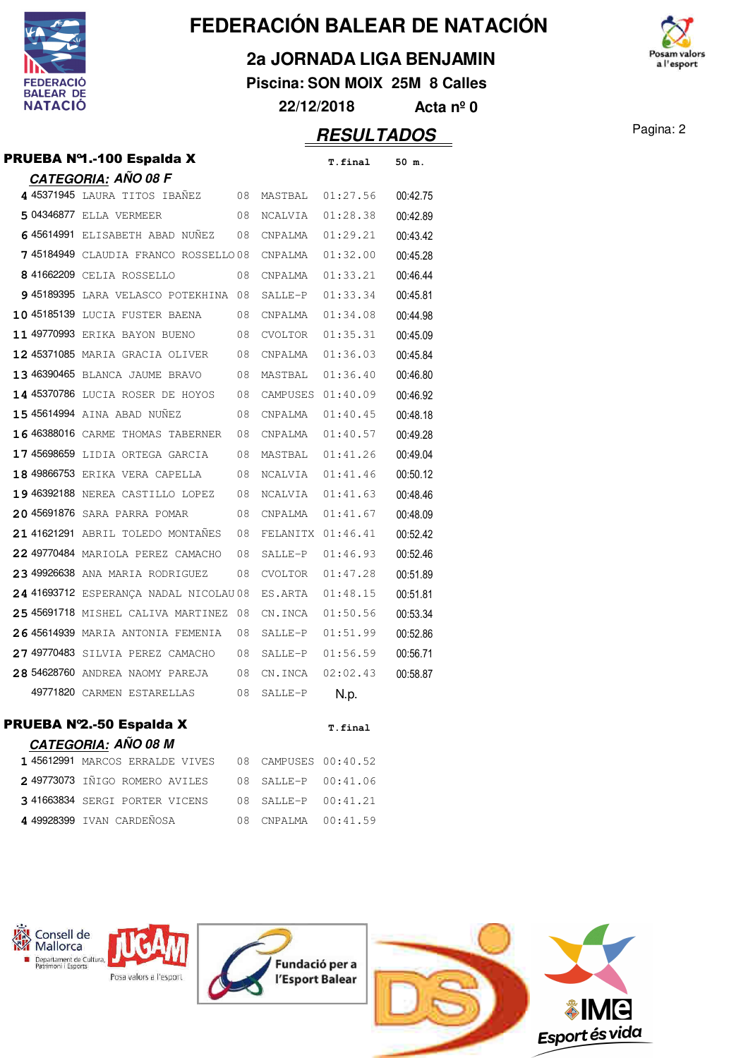

**2a JORNADA LIGA BENJAMIN**

**Piscina: SON MOIX 25M 8 Calles 22/12/2018 Acta nº 0**

osam valors a l'esport

### **RESULTADOS** Pagina: 2

| PRUEBA Nº1.-100 Espalda X | T.final | 50 m. |
|---------------------------|---------|-------|
| CATEGORIA: AÑO 08 F       |         |       |

| 4 45371945 laura titos ibañez          | 08 |                   | MASTBAL 01:27.56  | 00:42.75 |
|----------------------------------------|----|-------------------|-------------------|----------|
| 5 04346877 ELLA VERMEER                | 08 | NCALVIA           | 01:28.38          | 00:42.89 |
| 645614991 ELISABETH ABAD NUÑEZ         | 08 | CNPALMA           | 01:29.21          | 00:43.42 |
| 745184949 CLAUDIA FRANCO ROSSELLO08    |    | CNPALMA           | 01:32.00          | 00:45.28 |
| 8 41662209 CELIA ROSSELLO              | 08 | CNPALMA           | 01:33.21          | 00:46.44 |
| 9 45189395 LARA VELASCO POTEKHINA 08   |    | SALLE-P           | 01:33.34          | 00:45.81 |
| 10 45185139 LUCIA FUSTER BAENA         | 08 | CNPALMA           | 01:34.08          | 00:44.98 |
| 11 49770993 ERIKA BAYON BUENO          | 08 | CVOLTOR           | 01:35.31          | 00:45.09 |
| 12 45371085 MARIA GRACIA OLIVER        | 08 | CNPALMA           | 01:36.03          | 00:45.84 |
| 13 46390465 BLANCA JAUME BRAVO         | 08 | MASTBAL           | 01:36.40          | 00:46.80 |
| 14 45370786 LUCIA ROSER DE HOYOS       | 08 |                   | CAMPUSES 01:40.09 | 00:46.92 |
| 15 45614994 AINA ABAD NUÑEZ            | 08 | CNPALMA           | 01:40.45          | 00:48.18 |
| 16 46388016 CARME THOMAS TABERNER      | 08 | CNPALMA           | 01:40.57          | 00:49.28 |
| 17 45698659 LIDIA ORTEGA GARCIA        | 08 | MASTBAL           | 01:41.26          | 00:49.04 |
| 18 49866753 ERIKA VERA CAPELLA         | 08 | NCALVIA           | 01:41.46          | 00:50.12 |
| 19 46392188 NEREA CASTILLO LOPEZ       | 08 | NCALVIA           | 01:41.63          | 00:48.46 |
| 20 45691876 SARA PARRA POMAR           | 08 | CNPALMA           | 01:41.67          | 00:48.09 |
| 21 41621291 ABRIL TOLEDO MONTAÑES      | 08 | FELANITX 01:46.41 |                   | 00:52.42 |
| 22 49770484 MARIOLA PEREZ CAMACHO      | 08 | SALLE-P           | 01:46.93          | 00:52.46 |
| 23 49926638 ANA MARIA RODRIGUEZ        | 08 | CVOLTOR           | 01:47.28          | 00:51.89 |
| 24 41693712 ESPERANÇA NADAL NICOLAU 08 |    | ES.ARTA           | 01:48.15          | 00:51.81 |
| 25 45691718 MISHEL CALIVA MARTINEZ 08  |    | CN.INCA           | 01:50.56          | 00:53.34 |
| 26 45614939 MARIA ANTONIA FEMENIA      | 08 | SALLE-P           | 01:51.99          | 00:52.86 |
| 27 49770483 SILVIA PEREZ CAMACHO       | 08 | SALLE-P           | 01:56.59          | 00:56.71 |
| 28 54628760 ANDREA NAOMY PAREJA        | 08 | CN.INCA           | 02:02.43          | 00:58.87 |
| 49771820 CARMEN ESTARELLAS             | 08 | SALLE-P           | N.p.              |          |

#### **PRUEBA Nº2.-50 Espalda X** T.final **CATEGORIA: AÑO 08 M**

| _____________                                       |                     |  |
|-----------------------------------------------------|---------------------|--|
| 145612991 MARCOS ERRALDE VIVES 08 CAMPUSES 00:40.52 |                     |  |
| 2 49773073 IÑIGO ROMERO AVILES 08 SALLE-P 00:41.06  |                     |  |
| 3 41663834 SERGI PORTER VICENS                      | 08 SALLE-P 00:41.21 |  |
| 4 49928399 IVAN CARDEÑOSA                           | 08 CNPALMA 00:41.59 |  |









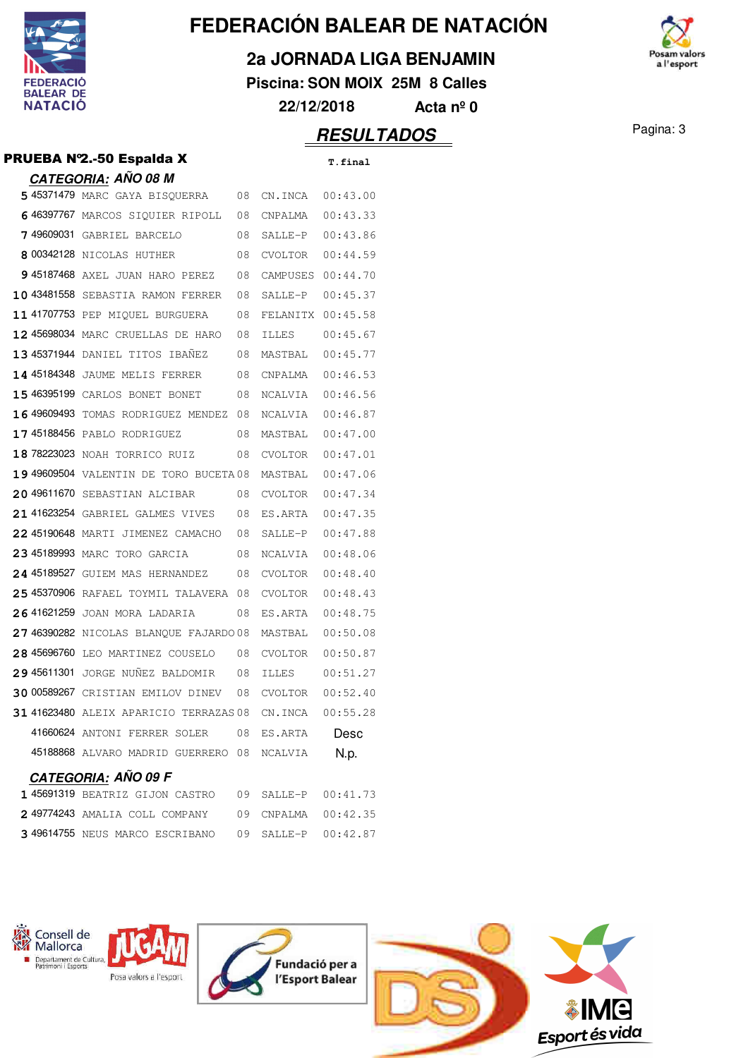

**2a JORNADA LIGA BENJAMIN**

**Piscina: SON MOIX 25M 8 Calles**



### **RESULTADOS** Pagina: 3

#### **PRUEBA Nº2.-50 Espalda X** T.final

|                   | <u>CATEGORIA:</u> AÑO 08 M               |      |                |                                     |
|-------------------|------------------------------------------|------|----------------|-------------------------------------|
|                   | 5 45371479 MARC GAYA BISQUERRA           | 08   | CN.INCA        | 00:43.00                            |
|                   | 6 46397767 MARCOS SIQUIER RIPOLL         | 08   | CNPALMA        | 00:43.33                            |
|                   | 7 49609031 GABRIEL BARCELO               | 08   | SALLE-P        | 00:43.86                            |
|                   | 8 00342128 NICOLAS HUTHER                | 08   | <b>CVOLTOR</b> | 00:44.59                            |
|                   | 9 45187468 AXEL JUAN HARO PEREZ          | 08   | CAMPUSES       | 00:44.70                            |
| 10 43481558       | SEBASTIA RAMON FERRER                    | 08   | SALLE-P        | 00:45.37                            |
|                   | 11 41707753 PEP MIQUEL BURGUERA          | 08   | FELANITX       | 00:45.58                            |
|                   | 12 45698034 MARC CRUELLAS DE HARO        | 08   | ILLES          | 00:45.67                            |
|                   | 13 45371944 DANIEL TITOS IBAÑEZ          | 08   | MASTBAL        | 00:45.77                            |
|                   | 14 45184348 JAUME MELIS FERRER           | 08   | CNPALMA        | 00:46.53                            |
|                   | 15 46395199 CARLOS BONET BONET           | 08   | NCALVIA        | 00:46.56                            |
| <b>1649609493</b> | TOMAS RODRIGUEZ MENDEZ                   | 08   | NCALVIA        | 00:46.87                            |
|                   | 17 45188456 PABLO RODRIGUEZ              | 08   | MASTBAL        | 00:47.00                            |
|                   | 18 78223023 NOAH TORRICO RUIZ            | 08   | <b>CVOLTOR</b> | 00:47.01                            |
|                   | 19 49609504 VALENTIN DE TORO BUCETA 08   |      | MASTBAL        | 00:47.06                            |
|                   | 20 49611670 SEBASTIAN ALCIBAR            | 08   | CVOLTOR        | 00:47.34                            |
|                   | 21 41623254 GABRIEL GALMES VIVES         | 08   | ES.ARTA        | 00:47.35                            |
|                   | 22 45190648 MARTI JIMENEZ CAMACHO        | 08   | SALLE-P        | 00:47.88                            |
|                   | 23 45189993 MARC TORO GARCIA             | 08   | NCALVIA        | 00:48.06                            |
|                   | 24 45189527 GUIFM MAS HERNANDEZ          | 08   | CVOLTOR        | 00:48.40                            |
|                   | 25 45370906 RAFAEL TOYMIL TALAVERA       | 08   | CVOLTOR        | 00:48.43                            |
| 26 41621259       | JOAN MORA LADARIA                        | 08   | ES.ARTA        | 00:48.75                            |
|                   | 27 46390282 NICOLAS BLANQUE FAJARDO 08   |      | MASTBAL        | 00:50.08                            |
|                   | 28 45696760 LEO MARTINEZ COUSELO         | 08   | CVOLTOR        | 00:50.87                            |
|                   | 2945611301 JORGE NUÑEZ BALDOMIR          | 08   | ILLES          | 00:51.27                            |
|                   | <b>30 00589267</b> CRISTIAN EMILOV DINEV | 08   | CVOLTOR        | 00:52.40                            |
|                   | 31 41623480 ALEIX APARICIO TERRAZAS 08   |      | CN.INCA        | 00:55.28                            |
|                   | 41660624 ANTONI FERRER SOLER             | 08   | ES.ARTA        | Desc                                |
|                   | 45188868 ALVARO MADRID GUERRERO 08       |      | NCALVIA        | N.p.                                |
|                   | <u>CATEGORIA</u> : AÑO 09 F              |      |                |                                     |
|                   | $1.45691310$ beatdif citam castdo        | na i | CATTE_D        | $\bigcap$ $\cdot$ $\bigcap$ 1<br>コマ |

| 145691319 BEATRIZ GIJON CASTRO 09 SALLE-P 00:41.73  |  |  |
|-----------------------------------------------------|--|--|
| 249774243 AMALIA COLL COMPANY 09 CNPALMA 00:42.35   |  |  |
| 3 49614755 NEUS MARCO ESCRIBANO 09 SALLE-P 00:42.87 |  |  |



Posa valors a l'esport







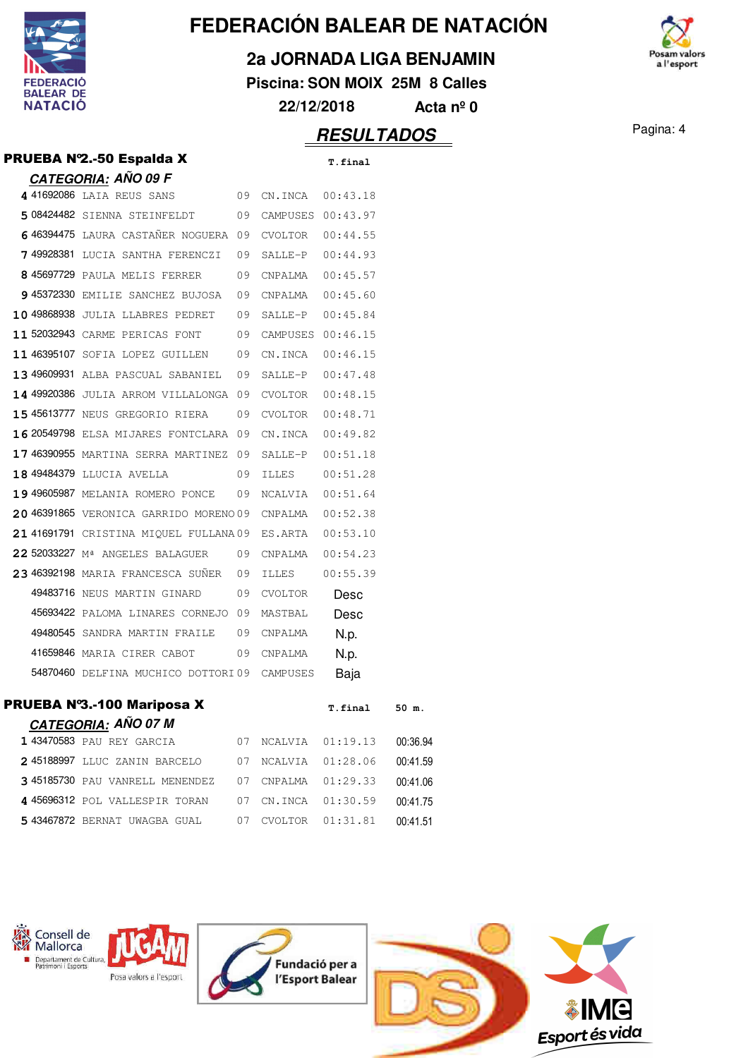

### **2a JORNADA LIGA BENJAMIN**

**Piscina: SON MOIX 25M 8 Calles**



## Pagina: 4 **RESULTADOS**

| PRUEBA Nº2.-50 Espalda X                       |    |                      | T.final  |          |
|------------------------------------------------|----|----------------------|----------|----------|
| <b>CATEGORIA: AÑO 09 F</b>                     |    |                      |          |          |
| 4 41692086 LAIA REUS SANS<br>09                |    | CN.INCA  00:43.18    |          |          |
| 508424482 SIENNA STEINFELDT 09                 |    | CAMPUSES 00:43.97    |          |          |
| 646394475 LAURA CASTANER NOGUERA 09            |    | $CVOLTOR$ $00:44.55$ |          |          |
| 749928381 LUCIA SANTHA FERENCZI 09             |    | SALLE-P              | 00:44.93 |          |
| 8 45697729 PAULA MELIS FERRER<br>09            |    | CNPALMA              | 00:45.57 |          |
| 9 45372330 EMILIE SANCHEZ BUJOSA 09            |    | CNPALMA              | 00:45.60 |          |
| 10 49868938 JULIA LLABRES PEDRET 09            |    | SALLE-P              | 00:45.84 |          |
| 11 52032943 CARME PERICAS FONT<br>09           |    | CAMPUSES 00:46.15    |          |          |
| 11 46395107 SOFIA LOPEZ GUILLEN 09             |    | CN.INCA              | 00:46.15 |          |
| 13 49609931 ALBA PASCUAL SABANIEL 09           |    | SALLE-P              | 00:47.48 |          |
| 14 49920386 JULIA ARROM VILLALONGA 09          |    | CVOLTOR              | 00:48.15 |          |
| <b>15 45613777</b> NEUS GREGORIO RIERA 09      |    | CVOLTOR              | 00:48.71 |          |
| 16 20549798 ELSA MIJARES FONTCLARA 09          |    | CN.INCA              | 00:49.82 |          |
| 17 46390955 MARTINA SERRA MARTINEZ 09          |    | SALLE-P              | 00:51.18 |          |
| 18 49484379 LLUCIA AVELLA<br>09                |    | ILLES                | 00:51.28 |          |
| 19 49605987 MELANIA ROMERO PONCE 09            |    | NCALVIA              | 00:51.64 |          |
| 20 46391865 VERONICA GARRIDO MORENO 09 CNPALMA |    |                      | 00:52.38 |          |
| 21 41691791 CRISTINA MIQUEL FULLANA09 ES.ARTA  |    |                      | 00:53.10 |          |
| 22 52033227 Mª ANGELES BALAGUER                | 09 | CNPALMA              | 00:54.23 |          |
| 23 46392198 MARIA FRANCESCA SUÑER 09           |    | ILLES                | 00:55.39 |          |
| 49483716 NEUS MARTIN GINARD<br>09              |    | CVOLTOR              | Desc     |          |
| 45693422 PALOMA LINARES CORNEJO 09             |    | MASTBAL              | Desc     |          |
| 49480545 SANDRA MARTIN FRAILE 09               |    | CNPALMA              | N.p.     |          |
| 41659846 MARIA CIRER CABOT                     | 09 | CNPALMA              | N.p.     |          |
| 54870460 DELFINA MUCHICO DOTTORI09 CAMPUSES    |    |                      | Baja     |          |
| <b>PRUEBA Nº3.-100 Mariposa X</b>              |    |                      | T.final  | 50 m.    |
| <b>CATEGORIA: AÑO 07 M</b>                     |    |                      |          |          |
| 1 43470583 PAU REY GARCIA                      | 07 | NCALVIA              | 01:19.13 | 00:36.94 |
| 245188997 LLUC ZANIN BARCELO                   | 07 | NCALVIA              | 01:28.06 | 00:41.59 |
| 3 45185730 PAU VANRELL MENENDEZ                | 07 | CNPALMA              | 01:29.33 | 00:41.06 |
| 4 45696312 POL VALLESPIR TORAN                 | 07 | CN.INCA              | 01:30.59 | 00:41.75 |
| 5 43467872 BERNAT UWAGBA GUAL                  | 07 | CVOLTOR              | 01:31.81 | 00:41.51 |



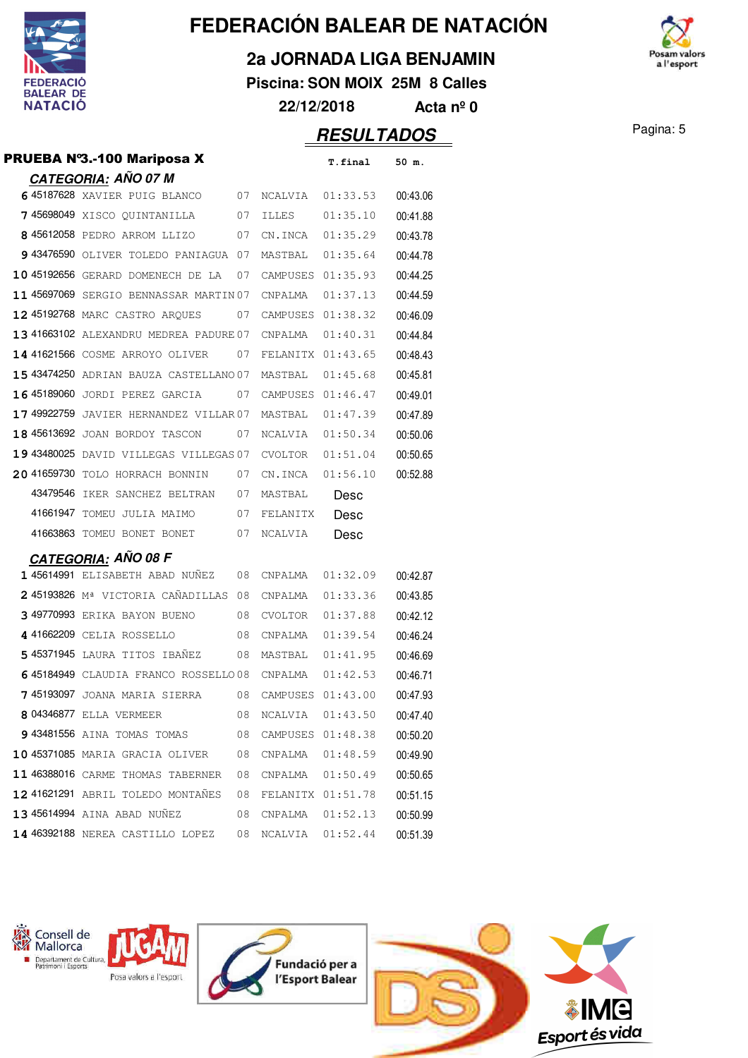

**2a JORNADA LIGA BENJAMIN**

**Piscina: SON MOIX 25M 8 Calles 22/12/2018 Acta nº 0**



**RESULTADOS** Pagina: 5

### **CATEGORIA: AÑO 07 M** 45187628 XAVIER PUIG BLANCO 07 NCALVIA 01:33.53 00:43.06 45698049 XISCO QUINTANILLA 07 ILLES 01:35.10 00:41.88 8 45612058 PEDRO ARROM LLIZO 07 CN.INCA 01:35.29 00:43.78 43476590 OLIVER TOLEDO PANIAGUA 07 MASTBAL 01:35.64 00:44.78 45192656 GERARD DOMENECH DE LA 07 CAMPUSES 01:35.93 00:44.25 11 45697069 SERGIO BENNASSAR MARTIN 07 CNPALMA 01:37.13 00:44.59

|  | 12 45192768 MARC CASTRO AROUES 07 CAMPUSES 01:38.32     |    |             |          | 00:46.09 |
|--|---------------------------------------------------------|----|-------------|----------|----------|
|  | 13 41663102 ALEXANDRU MEDREA PADURE 07 CNPALMA 01:40.31 |    |             |          | 00:44.84 |
|  | 14 41621566 COSME ARROYO OLIVER 07 FELANITX 01:43.65    |    |             |          | 00:48.43 |
|  | 15 43474250 ADRIAN BAUZA CASTELLANO 07 MASTBAL          |    |             | 01:45.68 | 00:45.81 |
|  | <b>16 45189060</b> JORDI PEREZ GARCIA 07                |    | CAMPUSES    | 01:46.47 | 00:49.01 |
|  | 17 49922759 JAVIER HERNANDEZ VILLAR 07 MASTBAL          |    |             | 01:47.39 | 00:47.89 |
|  | 18 45613692 JOAN BORDOY TASCON 07 NCALVIA 01:50.34      |    |             |          | 00:50.06 |
|  | 19 43480025 DAVID VILLEGAS VILLEGAS 07 CVOLTOR          |    |             | 01:51.04 | 00:50.65 |
|  | 20 41659730 TOLO HORRACH BONNIN                         |    | 07 CN. TNCA | 01:56.10 | 00:52.88 |
|  | 43479546 IKER SANCHEZ BELTRAN                           | 07 | MASTBAL     | Desc     |          |
|  | 41661947 TOMEU JULIA MAIMO 07 FELANITX                  |    |             | Desc     |          |
|  | 41663863 TOMEU BONET BONET                              |    | 07 NCALVIA  | Desc     |          |

**PRUEBA N°3.-100 Mariposa X** T.final 50 m.

### **CATEGORIA: AÑO 08 F**

|           | 145614991 ELISABETH ABAD NUNEZ      | 08 | CNPALMA        | 01:32.09 | 00:42.87 |
|-----------|-------------------------------------|----|----------------|----------|----------|
|           | 245193826 Mª VICTORIA CAÑADILLAS    | 08 | CNPALMA        | 01:33.36 | 00:43.85 |
|           | 3 49770993 ERIKA BAYON BUENO        | 08 | <b>CVOLTOR</b> | 01:37.88 | 00:42.12 |
|           | 4 41662209 CELIA ROSSELLO           | 08 | CNPALMA        | 01:39.54 | 00:46.24 |
|           | 545371945 LAURA TITOS IBAÑEZ        | 08 | MASTBAL        | 01:41.95 | 00:46.69 |
|           | 645184949 CLAUDIA FRANCO ROSSELLO08 |    | CNPALMA        | 01:42.53 | 00:46.71 |
| 745193097 | JOANA MARIA SIERRA                  | 08 | CAMPUSES       | 01:43.00 | 00:47.93 |
|           | 8 04346877 ELLA VERMEER             | 08 | <b>NCALVIA</b> | 01:43.50 | 00:47.40 |
|           | 9 43481556 AINA TOMAS TOMAS         | 08 | CAMPUSES       | 01:48.38 | 00:50.20 |
|           | 10 45371085 MARIA GRACIA OLIVER     | 08 | CNPALMA        | 01:48.59 | 00:49.90 |
|           | 11 46388016 CARME THOMAS TABERNER   | 08 | CNPALMA        | 01:50.49 | 00:50.65 |
|           | 12 41621291 ABRIL TOLEDO MONTAÑES   | 08 | FELANITX       | 01:51.78 | 00:51.15 |
|           | 13 45614994 AINA ABAD NUNEZ         | 08 | CNPALMA        | 01:52.13 | 00:50.99 |
|           | 14 46392188 NEREA CASTILLO LOPEZ    | 08 | NCALVIA        | 01:52.44 | 00:51.39 |

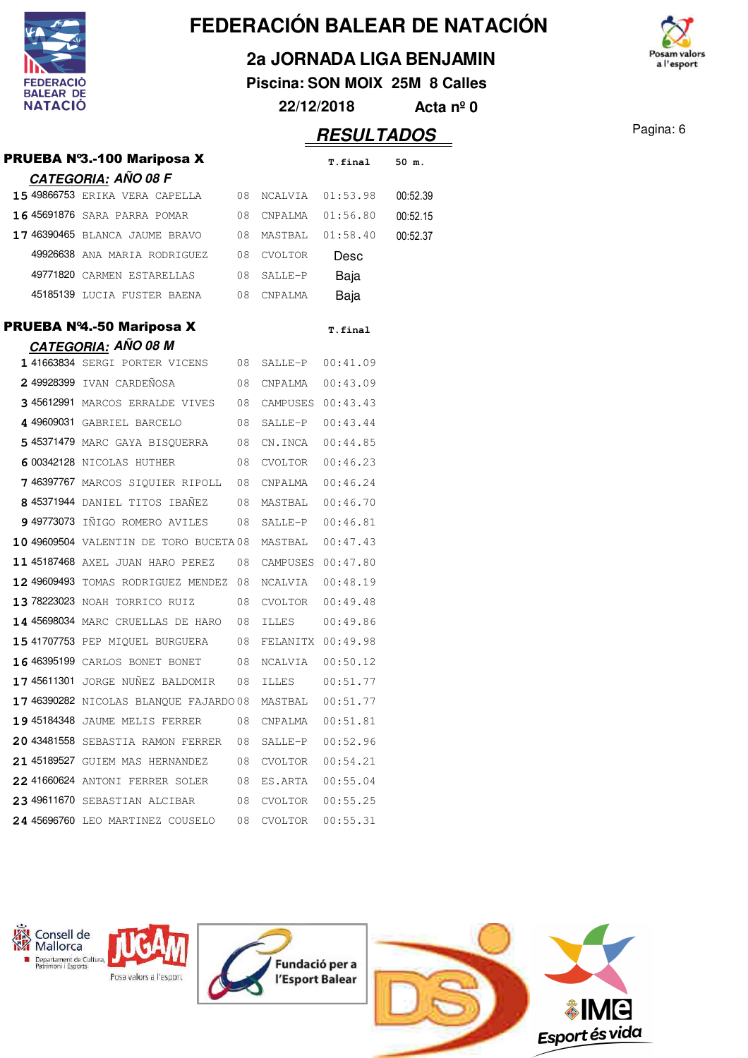

**2a JORNADA LIGA BENJAMIN**

**Piscina: SON MOIX 25M 8 Calles 22/12/2018 Acta nº 0**

# **RESULTADOS** Pagina: 6

|                                                                  |      |                   | <u>INLOULTADUC</u> |          |
|------------------------------------------------------------------|------|-------------------|--------------------|----------|
| <b>PRUEBA N°3.-100 Mariposa X</b>                                |      |                   | T.final            | 50 m.    |
| <u>CATEGORIA:</u> AÑO 08 F                                       |      |                   |                    |          |
| 15 49866753 ERIKA VERA CAPELLA 08                                |      |                   | NCALVIA 01:53.98   | 00:52.39 |
| 16 45691876 SARA PARRA POMAR 08                                  |      | CNPALMA           | 01:56.80           | 00:52.15 |
| <b>17 46390465</b> BLANCA JAUME BRAVO                            | 08   | MASTBAL 01:58.40  |                    | 00:52.37 |
| 49926638 ANA MARIA RODRIGUEZ                                     | 08   | CVOLTOR           | Desc               |          |
| 49771820 CARMEN ESTARELLAS<br>$\sim$ 08                          |      | SALLE-P           | Baja               |          |
| 45185139 LUCIA FUSTER BAENA 08                                   |      | CNPALMA           | Baja               |          |
| PRUEBA Nº4.-50 Mariposa X                                        |      |                   | T.final            |          |
| CATEGORIA: AÑO 08 M                                              |      |                   |                    |          |
| 1 41663834 SERGI PORTER VICENS                                   | 08   |                   | SALLE-P 00:41.09   |          |
| 2 49928399 IVAN CARDEÑOSA                                        | 08   | CNPALMA           | 00:43.09           |          |
| 3 45612991 MARCOS ERRALDE VIVES 08                               |      | CAMPUSES 00:43.43 |                    |          |
| 4 49609031 GABRIEL BARCELO                                       | 08   | SALLE-P           | 00:43.44           |          |
| <b>5 45371479</b> MARC GAYA BISOUERRA                            | 08   | CN.INCA           | 00:44.85           |          |
| 6 00342128 NICOLAS HUTHER 08                                     |      | CVOLTOR           | 00:46.23           |          |
| 7 46397767 MARCOS SIQUIER RIPOLL 08                              |      | CNPALMA           | 00:46.24           |          |
| 8 45371944 DANIEL TITOS IBAÑEZ                                   | 08   | MASTBAL           | 00:46.70           |          |
| 949773073 IÑIGO ROMERO AVILES                                    | 08   | SALLE-P           | 00:46.81           |          |
| 10 49609504 VALENTIN DE TORO BUCETA 08                           |      | MASTBAL           | 00:47.43           |          |
| 11 45187468 AXEL JUAN HARO PEREZ                                 | 08   |                   | CAMPUSES 00:47.80  |          |
| 12 49609493 TOMAS RODRIGUEZ MENDEZ 08                            |      | NCALVIA           | 00:48.19           |          |
| 13 78223023 NOAH TORRICO RUIZ                                    | 08   | CVOLTOR           | 00:49.48           |          |
| 14 45698034 MARC CRUELLAS DE HARO                                | - 08 | ILLES             | 00:49.86           |          |
| <b>15 41707753</b> PEP MIQUEL BURGUERA                           | 08   | FELANITX 00:49.98 |                    |          |
| 16 46395199 CARLOS BONET BONET                                   | 08   | NCALVIA           | 00:50.12           |          |
| 17 45611301 JORGE NUÑEZ BALDOMIR 08                              |      | ILLES             | 00:51.77           |          |
| 17 46390282 NICOLAS BLANQUE FAJARDO 08 MASTBAL 00:51.77          |      |                   |                    |          |
| <b>19 45184348</b> JAUME MELIS FERRER 08                         |      |                   | CNPALMA   00:51.81 |          |
| 20 43481558 SEBASTIA RAMON FERRER 08 SALLE-P 00:52.96            |      |                   |                    |          |
| 21 45189527 GUIEM MAS HERNANDEZ 08 CVOLTOR 00:54.21              |      |                   |                    |          |
| 22 41660624 ANTONI FERRER SOLER 08 ES.ARTA 00:55.04              |      |                   |                    |          |
| 23 49611670 SEBASTIAN ALCIBAR 08 CVOLTOR 00:55.25                |      |                   |                    |          |
| $24$ 45696760 LEO MARTINEZ COUSELO $\,$ 08 CVOLTOR 00:55.31 $\,$ |      |                   |                    |          |
|                                                                  |      |                   |                    |          |



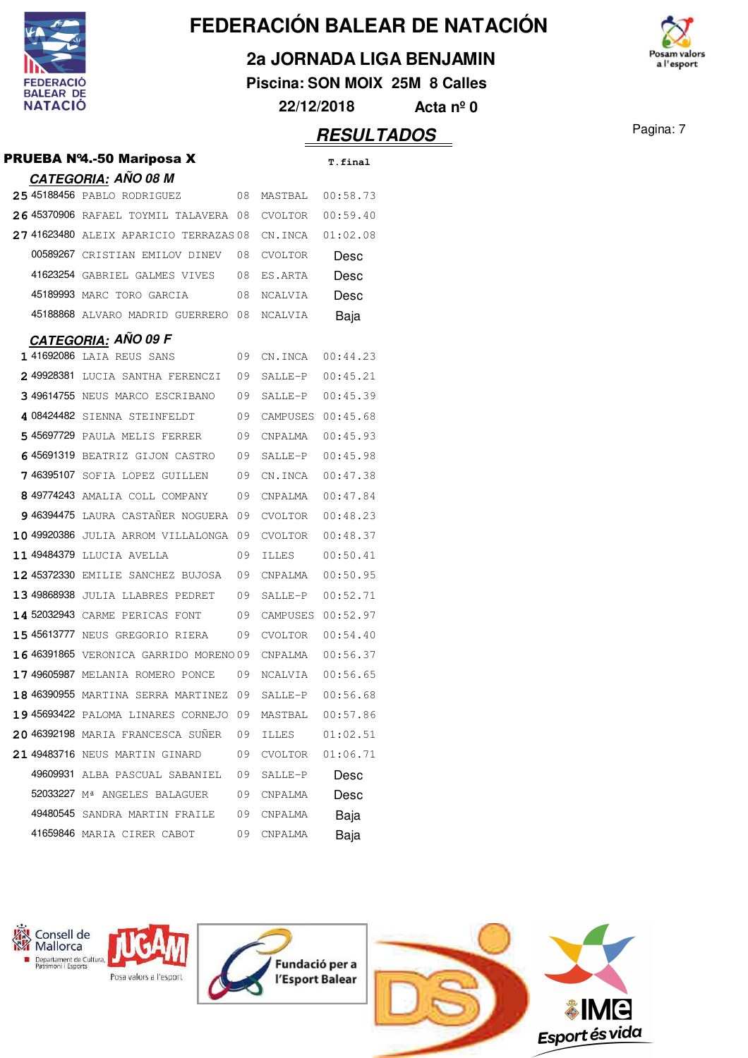

**2a JORNADA LIGA BENJAMIN**

**Piscina: SON MOIX 25M 8 Calles 22/12/2018 Acta nº 0**

### **RESULTADOS** Pagina: 7

| PRUEBA Nº4.-50 Mariposa X                     |      |                   | T.final  |
|-----------------------------------------------|------|-------------------|----------|
| <u>CATEGORIA:</u> AÑO 08 M                    |      |                   |          |
| 25 45188456 PABLO RODRIGUEZ                   | 08   | MASTBAL           | 00:58.73 |
| 26 45370906 RAFAEL TOYMIL TALAVERA 08         |      | CVOLTOR           | 00:59.40 |
| 27 41623480 ALEIX APARICIO TERRAZAS 08        |      | CN.INCA           | 01:02.08 |
| 00589267 CRISTIAN EMILOV DINEV                | 08   | CVOLTOR           | Desc     |
| 41623254 GABRIEL GALMES VIVES 08              |      | ES.ARTA           | Desc     |
| 45189993 MARC TORO GARCIA                     | -08  | NCALVIA           | Desc     |
| 45188868 ALVARO MADRID GUERRERO 08            |      | NCALVIA           | Baja     |
| <b>CATEGORIA: AÑO 09 F</b>                    |      |                   |          |
| 1 41692086 LAIA REUS SANS                     | -09  | CN.INCA           | 00:44.23 |
| 249928381 LUCIA SANTHA FERENCZI               | -09  | SALLE-P           | 00:45.21 |
| <b>349614755</b> NEUS MARCO ESCRIBANO         | 09   | SALLE-P           | 00:45.39 |
| 408424482 SIENNA STEINFELDT                   | 09   | CAMPUSES 00:45.68 |          |
| <b>5 45697729</b> PAULA MELIS FERRER          | 09   | CNPALMA           | 00:45.93 |
| 645691319 BEATRIZ GIJON CASTRO                | 09   | SALLE-P           | 00:45.98 |
| 746395107 SOFIA LOPEZ GUILLEN                 | 09   | CN.INCA           | 00:47.38 |
| 849774243 AMALIA COLL COMPANY                 | 09   | CNPALMA           | 00:47.84 |
| 946394475 LAURA CASTAÑER NOGUERA 09           |      | CVOLTOR           | 00:48.23 |
| 10 49920386 JULIA ARROM VILLALONGA            | -09  | CVOLTOR           | 00:48.37 |
| 11 49484379 LLUCIA AVELLA                     | 09   | ILLES             | 00:50.41 |
| <b>12 45372330</b> EMILIE SANCHEZ BUJOSA      | 09   | CNPALMA           | 00:50.95 |
| 13 49868938 JULIA LLABRES PEDRET              | 09   | SALLE-P           | 00:52.71 |
| 14 52032943 CARME PERICAS FONT                | 09   | CAMPUSES          | 00:52.97 |
| <b>15 45613777</b> NEUS GREGORIO RIERA        | 09   | CVOLTOR           | 00:54.40 |
| <b>16 46391865</b> VERONICA GARRIDO MORENO 09 |      | CNPALMA           | 00:56.37 |
| 1749605987 MELANIA ROMERO PONCE               | 09   | NCALVIA           | 00:56.65 |
| 18 46390955 MARTINA SERRA MARTINEZ 09         |      | SALLE-P           | 00:56.68 |
| 19 45693422 PALOMA LINARES CORNEJO            | - 09 | MASTBAL           | 00:57.86 |
| 20 46392198 MARIA FRANCESCA SUÑER             | 09   | ILLES             | 01:02.51 |
| 21 49483716 NEUS MARTIN GINARD                | 09   | CVOLTOR           | 01:06.71 |
| 49609931 ALBA PASCUAL SABANIEL                | 09   | SALLE-P           | Desc     |
| 52033227 Mª ANGELES BALAGUER                  | 09   | CNPALMA           | Desc     |
| 49480545 SANDRA MARTIN FRAILE                 | 09   | CNPALMA           | Baja     |
| 41659846 MARIA CIRER CABOT                    | 09   | CNPALMA           | Baja     |











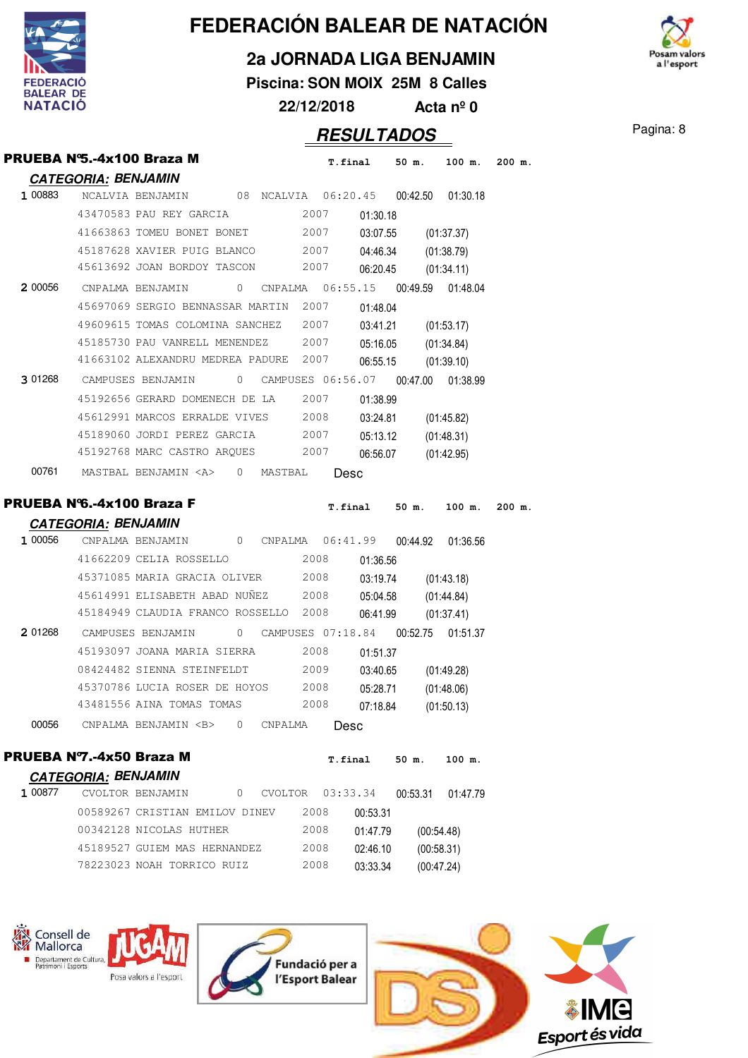

Consell de Mallorca Departament de Cultura,<br>Patrimoni i Esports